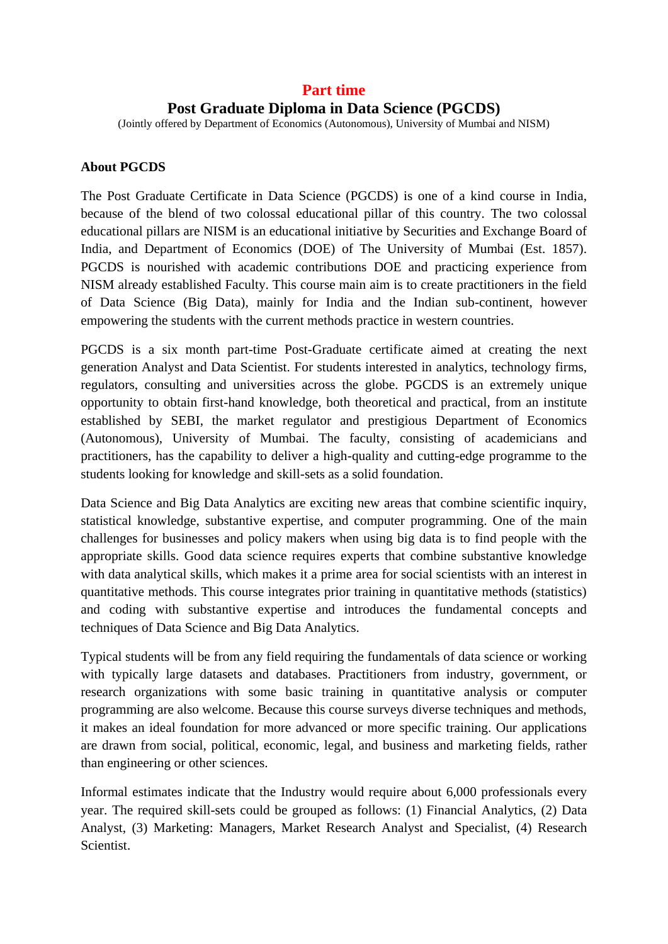# **Part time**

# **Post Graduate Diploma in Data Science (PGCDS)**

(Jointly offered by Department of Economics (Autonomous), University of Mumbai and NISM)

## **About PGCDS**

The Post Graduate Certificate in Data Science (PGCDS) is one of a kind course in India, because of the blend of two colossal educational pillar of this country. The two colossal educational pillars are NISM is an educational initiative by Securities and Exchange Board of India, and Department of Economics (DOE) of The University of Mumbai (Est. 1857). PGCDS is nourished with academic contributions DOE and practicing experience from NISM already established Faculty. This course main aim is to create practitioners in the field of Data Science (Big Data), mainly for India and the Indian sub-continent, however empowering the students with the current methods practice in western countries.

PGCDS is a six month part-time Post-Graduate certificate aimed at creating the next generation Analyst and Data Scientist. For students interested in analytics, technology firms, regulators, consulting and universities across the globe. PGCDS is an extremely unique opportunity to obtain first-hand knowledge, both theoretical and practical, from an institute established by SEBI, the market regulator and prestigious Department of Economics (Autonomous), University of Mumbai. The faculty, consisting of academicians and practitioners, has the capability to deliver a high-quality and cutting-edge programme to the students looking for knowledge and skill-sets as a solid foundation.

Data Science and Big Data Analytics are exciting new areas that combine scientific inquiry, statistical knowledge, substantive expertise, and computer programming. One of the main challenges for businesses and policy makers when using big data is to find people with the appropriate skills. Good data science requires experts that combine substantive knowledge with data analytical skills, which makes it a prime area for social scientists with an interest in quantitative methods. This course integrates prior training in quantitative methods (statistics) and coding with substantive expertise and introduces the fundamental concepts and techniques of Data Science and Big Data Analytics.

Typical students will be from any field requiring the fundamentals of data science or working with typically large datasets and databases. Practitioners from industry, government, or research organizations with some basic training in quantitative analysis or computer programming are also welcome. Because this course surveys diverse techniques and methods, it makes an ideal foundation for more advanced or more specific training. Our applications are drawn from social, political, economic, legal, and business and marketing fields, rather than engineering or other sciences.

Informal estimates indicate that the Industry would require about 6,000 professionals every year. The required skill-sets could be grouped as follows: (1) Financial Analytics, (2) Data Analyst, (3) Marketing: Managers, Market Research Analyst and Specialist, (4) Research Scientist.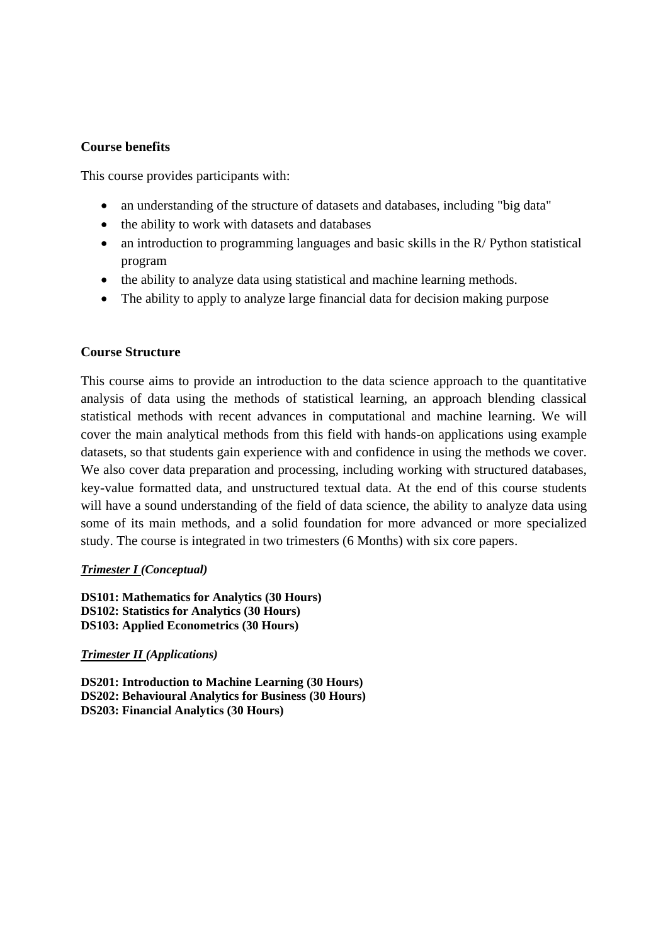#### **Course benefits**

This course provides participants with:

- an understanding of the structure of datasets and databases, including "big data"
- the ability to work with datasets and databases
- an introduction to programming languages and basic skills in the R/ Python statistical program
- the ability to analyze data using statistical and machine learning methods.
- The ability to apply to analyze large financial data for decision making purpose

#### **Course Structure**

This course aims to provide an introduction to the data science approach to the quantitative analysis of data using the methods of statistical learning, an approach blending classical statistical methods with recent advances in computational and machine learning. We will cover the main analytical methods from this field with hands-on applications using example datasets, so that students gain experience with and confidence in using the methods we cover. We also cover data preparation and processing, including working with structured databases, key-value formatted data, and unstructured textual data. At the end of this course students will have a sound understanding of the field of data science, the ability to analyze data using some of its main methods, and a solid foundation for more advanced or more specialized study. The course is integrated in two trimesters (6 Months) with six core papers.

#### *Trimester I (Conceptual)*

**DS101: Mathematics for Analytics (30 Hours) DS102: Statistics for Analytics (30 Hours) DS103: Applied Econometrics (30 Hours)**

#### *Trimester II (Applications)*

**DS201: Introduction to Machine Learning (30 Hours) DS202: Behavioural Analytics for Business (30 Hours) DS203: Financial Analytics (30 Hours)**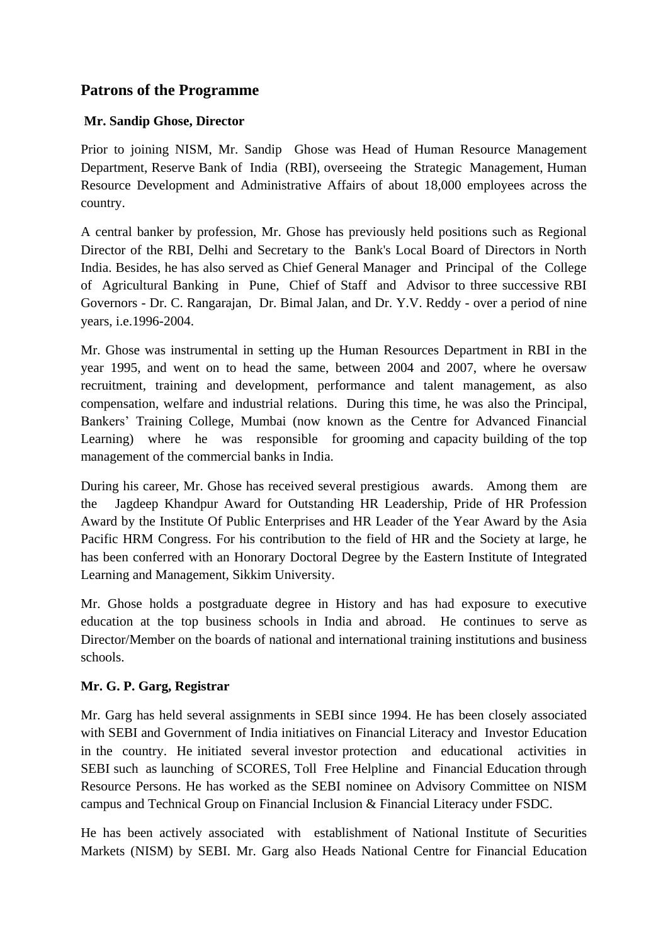# **Patrons of the Programme**

## **Mr. Sandip Ghose, Director**

Prior to joining NISM, Mr. Sandip Ghose was Head of Human Resource Management Department, Reserve Bank of India (RBI), overseeing the Strategic Management, Human Resource Development and Administrative Affairs of about 18,000 employees across the country.

A central banker by profession, Mr. Ghose has previously held positions such as Regional Director of the RBI, Delhi and Secretary to the Bank's Local Board of Directors in North India. Besides, he has also served as Chief General Manager and Principal of the College of Agricultural Banking in Pune, Chief of Staff and Advisor to three successive RBI Governors - Dr. C. Rangarajan, Dr. Bimal Jalan, and Dr. Y.V. Reddy - over a period of nine years, i.e.1996-2004.

Mr. Ghose was instrumental in setting up the Human Resources Department in RBI in the year 1995, and went on to head the same, between 2004 and 2007, where he oversaw recruitment, training and development, performance and talent management, as also compensation, welfare and industrial relations. During this time, he was also the Principal, Bankers' Training College, Mumbai (now known as the Centre for Advanced Financial Learning) where he was responsible for grooming and capacity building of the top management of the commercial banks in India.

During his career, Mr. Ghose has received several prestigious awards. Among them are the Jagdeep Khandpur Award for Outstanding HR Leadership, Pride of HR Profession Award by the Institute Of Public Enterprises and HR Leader of the Year Award by the Asia Pacific HRM Congress. For his contribution to the field of HR and the Society at large, he has been conferred with an Honorary Doctoral Degree by the Eastern Institute of Integrated Learning and Management, Sikkim University.

Mr. Ghose holds a postgraduate degree in History and has had exposure to executive education at the top business schools in India and abroad. He continues to serve as Director/Member on the boards of national and international training institutions and business schools.

## **Mr. G. P. Garg, Registrar**

Mr. Garg has held several assignments in SEBI since 1994. He has been closely associated with SEBI and Government of India initiatives on Financial Literacy and Investor Education in the country. He initiated several investor protection and educational activities in SEBI such as launching of SCORES, Toll Free Helpline and Financial Education through Resource Persons. He has worked as the SEBI nominee on Advisory Committee on NISM campus and Technical Group on Financial Inclusion & Financial Literacy under FSDC.

He has been actively associated with establishment of National Institute of Securities Markets (NISM) by SEBI. Mr. Garg also Heads National Centre for Financial Education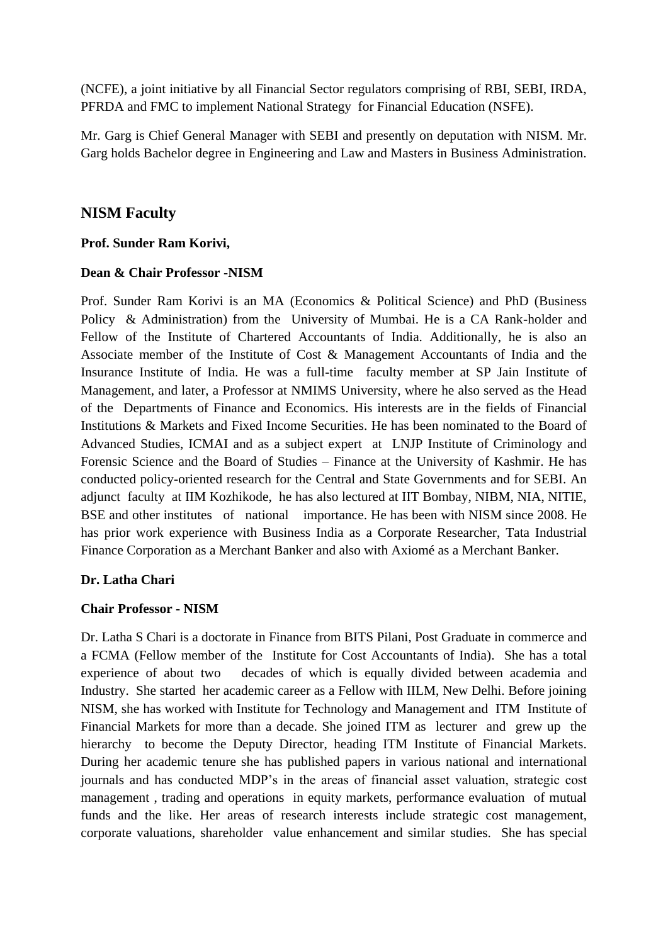(NCFE), a joint initiative by all Financial Sector regulators comprising of RBI, SEBI, IRDA, PFRDA and FMC to implement National Strategy for Financial Education (NSFE).

Mr. Garg is Chief General Manager with SEBI and presently on deputation with NISM. Mr. Garg holds Bachelor degree in Engineering and Law and Masters in Business Administration.

# **NISM Faculty**

## **Prof. Sunder Ram Korivi,**

#### **Dean & Chair Professor -NISM**

Prof. Sunder Ram Korivi is an MA (Economics & Political Science) and PhD (Business Policy & Administration) from the University of Mumbai. He is a CA Rank-holder and Fellow of the Institute of Chartered Accountants of India. Additionally, he is also an Associate member of the Institute of Cost & Management Accountants of India and the Insurance Institute of India. He was a full-time faculty member at SP Jain Institute of Management, and later, a Professor at NMIMS University, where he also served as the Head of the Departments of Finance and Economics. His interests are in the fields of Financial Institutions & Markets and Fixed Income Securities. He has been nominated to the Board of Advanced Studies, ICMAI and as a subject expert at LNJP Institute of Criminology and Forensic Science and the Board of Studies – Finance at the University of Kashmir. He has conducted policy-oriented research for the Central and State Governments and for SEBI. An adjunct faculty at IIM Kozhikode, he has also lectured at IIT Bombay, NIBM, NIA, NITIE, BSE and other institutes of national importance. He has been with NISM since 2008. He has prior work experience with Business India as a Corporate Researcher, Tata Industrial Finance Corporation as a Merchant Banker and also with Axiomé as a Merchant Banker.

#### **Dr. Latha Chari**

#### **Chair Professor - NISM**

Dr. Latha S Chari is a doctorate in Finance from BITS Pilani, Post Graduate in commerce and a FCMA (Fellow member of the Institute for Cost Accountants of India). She has a total experience of about two decades of which is equally divided between academia and Industry. She started her academic career as a Fellow with IILM, New Delhi. Before joining NISM, she has worked with Institute for Technology and Management and ITM Institute of Financial Markets for more than a decade. She joined ITM as lecturer and grew up the hierarchy to become the Deputy Director, heading ITM Institute of Financial Markets. During her academic tenure she has published papers in various national and international journals and has conducted MDP's in the areas of financial asset valuation, strategic cost management , trading and operations in equity markets, performance evaluation of mutual funds and the like. Her areas of research interests include strategic cost management, corporate valuations, shareholder value enhancement and similar studies. She has special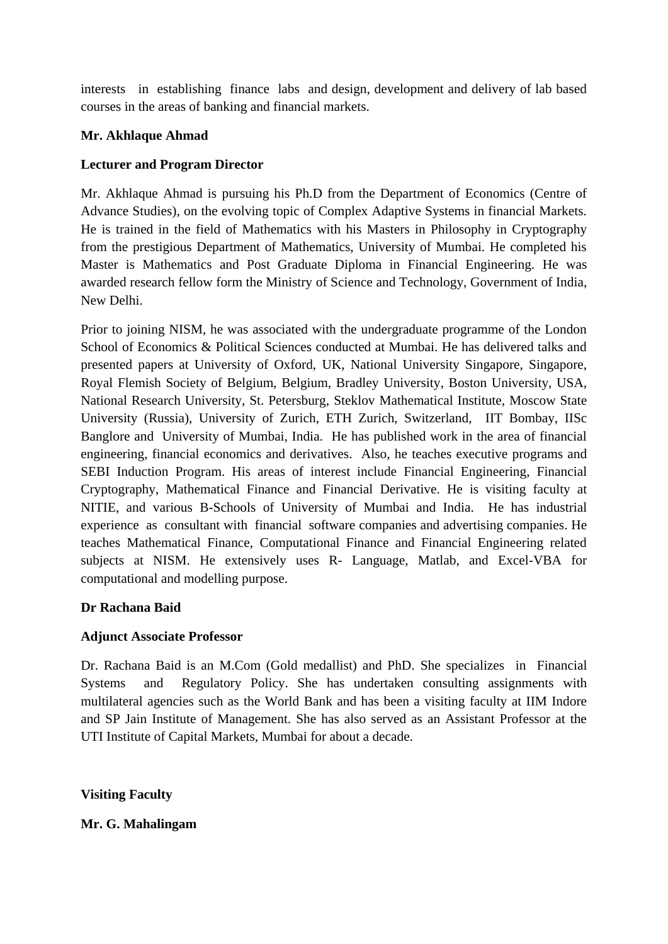interests in establishing finance labs and design, development and delivery of lab based courses in the areas of banking and financial markets.

## **Mr. Akhlaque Ahmad**

## **Lecturer and Program Director**

Mr. Akhlaque Ahmad is pursuing his Ph.D from the Department of Economics (Centre of Advance Studies), on the evolving topic of Complex Adaptive Systems in financial Markets. He is trained in the field of Mathematics with his Masters in Philosophy in Cryptography from the prestigious Department of Mathematics, University of Mumbai. He completed his Master is Mathematics and Post Graduate Diploma in Financial Engineering. He was awarded research fellow form the Ministry of Science and Technology, Government of India, New Delhi.

Prior to joining NISM, he was associated with the undergraduate programme of the London School of Economics & Political Sciences conducted at Mumbai. He has delivered talks and presented papers at University of Oxford, UK, National University Singapore, Singapore, Royal Flemish Society of Belgium, Belgium, Bradley University, Boston University, USA, National Research University, St. Petersburg, Steklov Mathematical Institute, Moscow State University (Russia), University of Zurich, ETH Zurich, Switzerland, IIT Bombay, IISc Banglore and University of Mumbai, India. He has published work in the area of financial engineering, financial economics and derivatives. Also, he teaches executive programs and SEBI Induction Program. His areas of interest include Financial Engineering, Financial Cryptography, Mathematical Finance and Financial Derivative. He is visiting faculty at NITIE, and various B-Schools of University of Mumbai and India. He has industrial experience as consultant with financial software companies and advertising companies. He teaches Mathematical Finance, Computational Finance and Financial Engineering related subjects at NISM. He extensively uses R- Language, Matlab, and Excel-VBA for computational and modelling purpose.

## **Dr Rachana Baid**

## **Adjunct Associate Professor**

Dr. Rachana Baid is an M.Com (Gold medallist) and PhD. She specializes in Financial Systems and Regulatory Policy. She has undertaken consulting assignments with multilateral agencies such as the World Bank and has been a visiting faculty at IIM Indore and SP Jain Institute of Management. She has also served as an Assistant Professor at the UTI Institute of Capital Markets, Mumbai for about a decade.

**Visiting Faculty** 

#### **Mr. G. Mahalingam**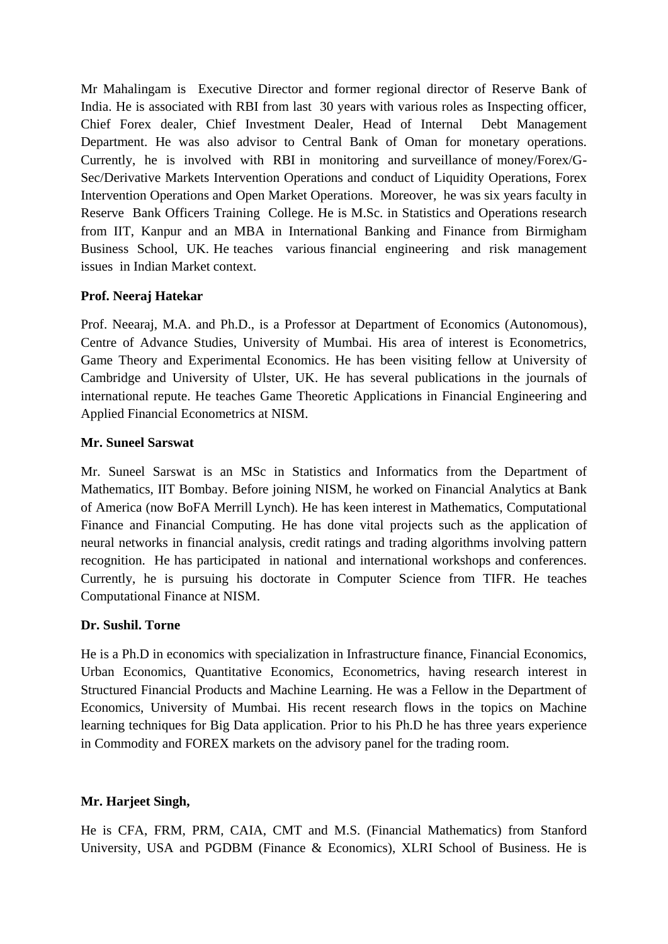Mr Mahalingam is Executive Director and former regional director of Reserve Bank of India. He is associated with RBI from last 30 years with various roles as Inspecting officer, Chief Forex dealer, Chief Investment Dealer, Head of Internal Debt Management Department. He was also advisor to Central Bank of Oman for monetary operations. Currently, he is involved with RBI in monitoring and surveillance of money/Forex/G-Sec/Derivative Markets Intervention Operations and conduct of Liquidity Operations, Forex Intervention Operations and Open Market Operations. Moreover, he was six years faculty in Reserve Bank Officers Training College. He is M.Sc. in Statistics and Operations research from IIT, Kanpur and an MBA in International Banking and Finance from Birmigham Business School, UK. He teaches various financial engineering and risk management issues in Indian Market context.

## **Prof. Neeraj Hatekar**

Prof. Neearaj, M.A. and Ph.D., is a Professor at Department of Economics (Autonomous), Centre of Advance Studies, University of Mumbai. His area of interest is Econometrics, Game Theory and Experimental Economics. He has been visiting fellow at University of Cambridge and University of Ulster, UK. He has several publications in the journals of international repute. He teaches Game Theoretic Applications in Financial Engineering and Applied Financial Econometrics at NISM.

## **Mr. Suneel Sarswat**

Mr. Suneel Sarswat is an MSc in Statistics and Informatics from the Department of Mathematics, IIT Bombay. Before joining NISM, he worked on Financial Analytics at Bank of America (now BoFA Merrill Lynch). He has keen interest in Mathematics, Computational Finance and Financial Computing. He has done vital projects such as the application of neural networks in financial analysis, credit ratings and trading algorithms involving pattern recognition. He has participated in national and international workshops and conferences. Currently, he is pursuing his doctorate in Computer Science from TIFR. He teaches Computational Finance at NISM.

#### **Dr. Sushil. Torne**

He is a Ph.D in economics with specialization in Infrastructure finance, Financial Economics, Urban Economics, Quantitative Economics, Econometrics, having research interest in Structured Financial Products and Machine Learning. He was a Fellow in the Department of Economics, University of Mumbai. His recent research flows in the topics on Machine learning techniques for Big Data application. Prior to his Ph.D he has three years experience in Commodity and FOREX markets on the advisory panel for the trading room.

## **Mr. Harjeet Singh,**

He is CFA, FRM, PRM, CAIA, CMT and M.S. (Financial Mathematics) from Stanford University, USA and PGDBM (Finance & Economics), XLRI School of Business. He is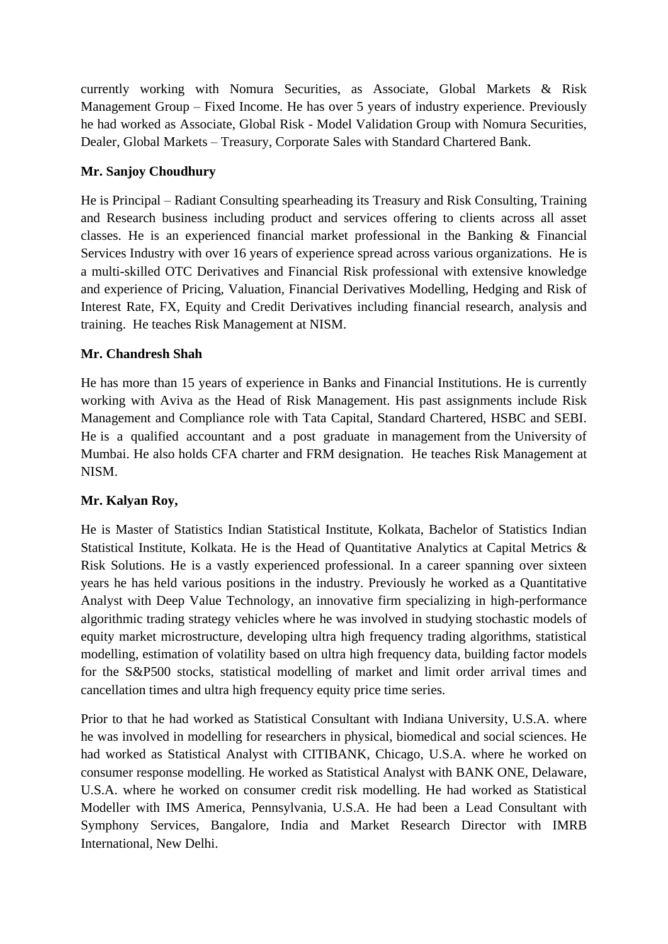currently working with Nomura Securities, as Associate, Global Markets & Risk Management Group – Fixed Income. He has over 5 years of industry experience. Previously he had worked as Associate, Global Risk - Model Validation Group with Nomura Securities, Dealer, Global Markets – Treasury, Corporate Sales with Standard Chartered Bank.

# **Mr. Sanjoy Choudhury**

He is Principal – Radiant Consulting spearheading its Treasury and Risk Consulting, Training and Research business including product and services offering to clients across all asset classes. He is an experienced financial market professional in the Banking & Financial Services Industry with over 16 years of experience spread across various organizations. He is a multi-skilled OTC Derivatives and Financial Risk professional with extensive knowledge and experience of Pricing, Valuation, Financial Derivatives Modelling, Hedging and Risk of Interest Rate, FX, Equity and Credit Derivatives including financial research, analysis and training. He teaches Risk Management at NISM.

# **Mr. Chandresh Shah**

He has more than 15 years of experience in Banks and Financial Institutions. He is currently working with Aviva as the Head of Risk Management. His past assignments include Risk Management and Compliance role with Tata Capital, Standard Chartered, HSBC and SEBI. He is a qualified accountant and a post graduate in management from the University of Mumbai. He also holds CFA charter and FRM designation. He teaches Risk Management at NISM.

# **Mr. Kalyan Roy,**

He is Master of Statistics Indian Statistical Institute, Kolkata, Bachelor of Statistics Indian Statistical Institute, Kolkata. He is the Head of Quantitative Analytics at Capital Metrics & Risk Solutions. He is a vastly experienced professional. In a career spanning over sixteen years he has held various positions in the industry. Previously he worked as a Quantitative Analyst with Deep Value Technology, an innovative firm specializing in high-performance algorithmic trading strategy vehicles where he was involved in studying stochastic models of equity market microstructure, developing ultra high frequency trading algorithms, statistical modelling, estimation of volatility based on ultra high frequency data, building factor models for the S&P500 stocks, statistical modelling of market and limit order arrival times and cancellation times and ultra high frequency equity price time series.

Prior to that he had worked as Statistical Consultant with Indiana University, U.S.A. where he was involved in modelling for researchers in physical, biomedical and social sciences. He had worked as Statistical Analyst with CITIBANK, Chicago, U.S.A. where he worked on consumer response modelling. He worked as Statistical Analyst with BANK ONE, Delaware, U.S.A. where he worked on consumer credit risk modelling. He had worked as Statistical Modeller with IMS America, Pennsylvania, U.S.A. He had been a Lead Consultant with Symphony Services, Bangalore, India and Market Research Director with IMRB International, New Delhi.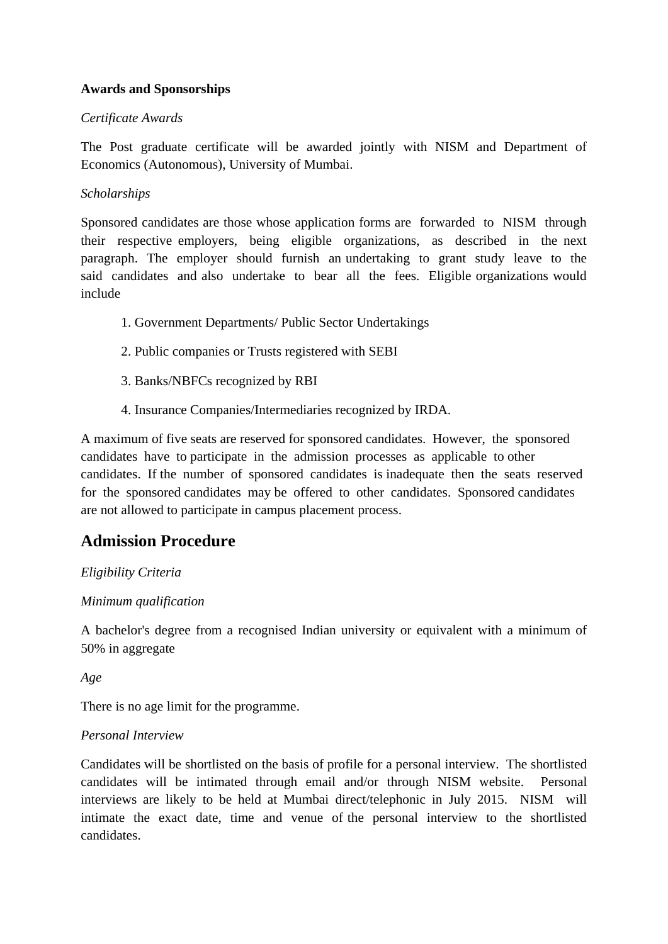# **Awards and Sponsorships**

## *Certificate Awards*

The Post graduate certificate will be awarded jointly with NISM and Department of Economics (Autonomous), University of Mumbai.

## *Scholarships*

Sponsored candidates are those whose application forms are forwarded to NISM through their respective employers, being eligible organizations, as described in the next paragraph. The employer should furnish an undertaking to grant study leave to the said candidates and also undertake to bear all the fees. Eligible organizations would include

- 1. Government Departments/ Public Sector Undertakings
- 2. Public companies or Trusts registered with SEBI
- 3. Banks/NBFCs recognized by RBI
- 4. Insurance Companies/Intermediaries recognized by IRDA.

A maximum of five seats are reserved for sponsored candidates. However, the sponsored candidates have to participate in the admission processes as applicable to other candidates. If the number of sponsored candidates is inadequate then the seats reserved for the sponsored candidates may be offered to other candidates. Sponsored candidates are not allowed to participate in campus placement process.

# **Admission Procedure**

## *Eligibility Criteria*

## *Minimum qualification*

A bachelor's degree from a recognised Indian university or equivalent with a minimum of 50% in aggregate

*Age*

There is no age limit for the programme.

## *Personal Interview*

Candidates will be shortlisted on the basis of profile for a personal interview. The shortlisted candidates will be intimated through email and/or through NISM website. Personal interviews are likely to be held at Mumbai direct/telephonic in July 2015. NISM will intimate the exact date, time and venue of the personal interview to the shortlisted candidates.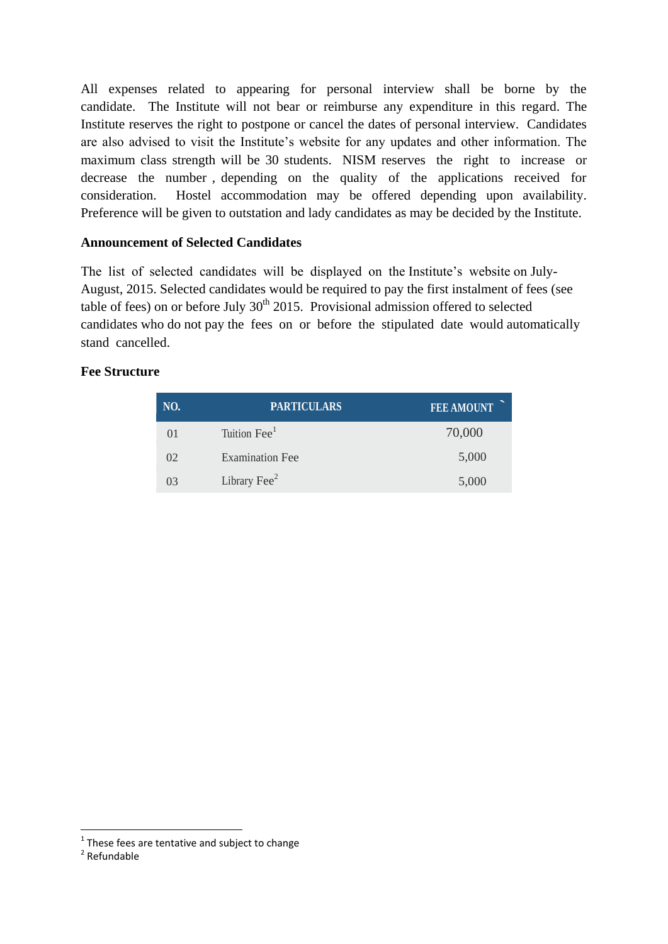All expenses related to appearing for personal interview shall be borne by the candidate. The Institute will not bear or reimburse any expenditure in this regard. The Institute reserves the right to postpone or cancel the dates of personal interview. Candidates are also advised to visit the Institute's website for any updates and other information. The maximum class strength will be 30 students. NISM reserves the right to increase or decrease the number , depending on the quality of the applications received for consideration. Hostel accommodation may be offered depending upon availability. Preference will be given to outstation and lady candidates as may be decided by the Institute.

## **Announcement of Selected Candidates**

The list of selected candidates will be displayed on the Institute's website on July-August, 2015. Selected candidates would be required to pay the first instalment of fees (see table of fees) on or before July  $30<sup>th</sup> 2015$ . Provisional admission offered to selected candidates who do not pay the fees on or before the stipulated date would automatically stand cancelled.

## **Fee Structure**

| NO. | <b>PARTICULARS</b>       | <b>FEE AMOUNT</b> |
|-----|--------------------------|-------------------|
| 01  | Tuition Fee <sup>1</sup> | 70,000            |
| 02  | <b>Examination Fee</b>   | 5,000             |
| 03  | Library Fee <sup>2</sup> | 5,000             |

 $\overline{a}$ 

 $1$  These fees are tentative and subject to change

<sup>2</sup> Refundable